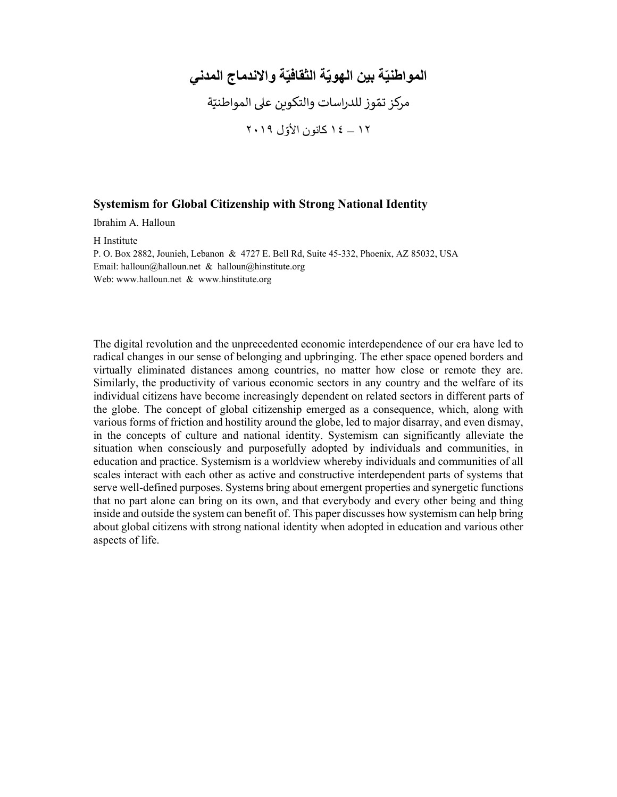## المواطنيّة بين الـهويّة الثقافيّة والاندماج المدن*ي* ֦֧֦֧֦֧֝<u>֓</u> مركز تمّوز للدراسات والتكوين على المواطنيّة ١٢ – ١٤ ّ كانون الأول ٢٠١٩

## **Systemism for Global Citizenship with Strong National Identity**

Ibrahim A. Halloun

H Institute P. O. Box 2882, Jounieh, Lebanon & 4727 E. Bell Rd, Suite 45-332, Phoenix, AZ 85032, USA Email: halloun@halloun.net & halloun@hinstitute.org Web: www.halloun.net & www.hinstitute.org

The digital revolution and the unprecedented economic interdependence of our era have led to radical changes in our sense of belonging and upbringing. The ether space opened borders and virtually eliminated distances among countries, no matter how close or remote they are. Similarly, the productivity of various economic sectors in any country and the welfare of its individual citizens have become increasingly dependent on related sectors in different parts of the globe. The concept of global citizenship emerged as a consequence, which, along with various forms of friction and hostility around the globe, led to major disarray, and even dismay, in the concepts of culture and national identity. Systemism can significantly alleviate the situation when consciously and purposefully adopted by individuals and communities, in education and practice. Systemism is a worldview whereby individuals and communities of all scales interact with each other as active and constructive interdependent parts of systems that serve well-defined purposes. Systems bring about emergent properties and synergetic functions that no part alone can bring on its own, and that everybody and every other being and thing inside and outside the system can benefit of. This paper discusses how systemism can help bring about global citizens with strong national identity when adopted in education and various other aspects of life.